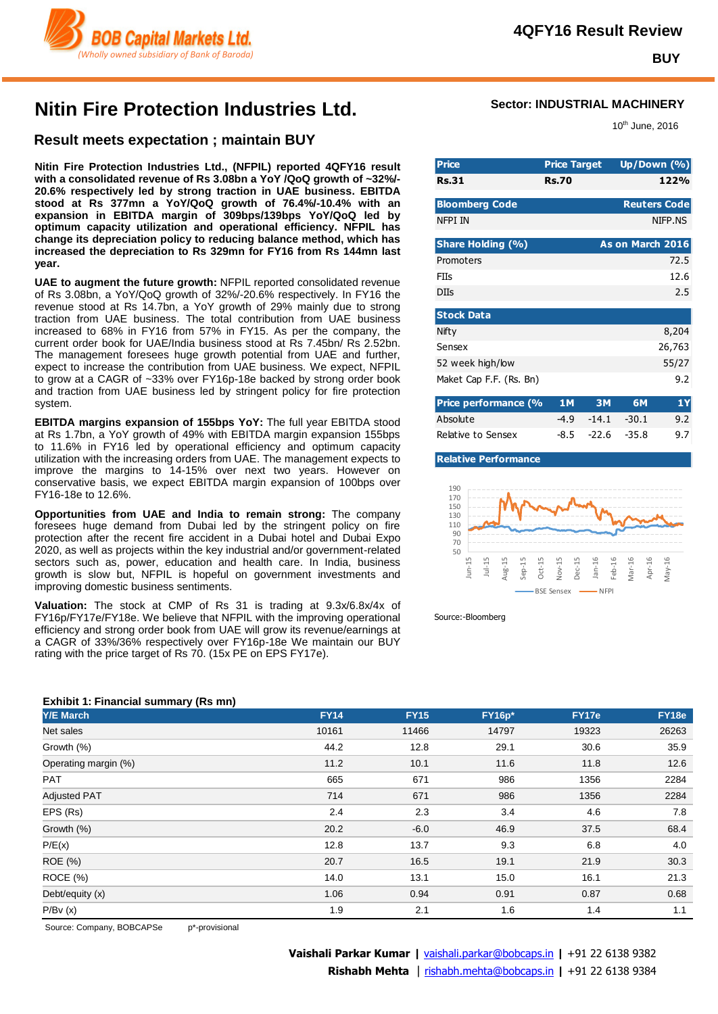

**BUY**

# **Nitin Fire Protection Industries Ltd.**

### **Result meets expectation ; maintain BUY**

**Nitin Fire Protection Industries Ltd., (NFPIL) reported 4QFY16 result with a consolidated revenue of Rs 3.08bn a YoY /QoQ growth of ~32%/- 20.6% respectively led by strong traction in UAE business. EBITDA stood at Rs 377mn a YoY/QoQ growth of 76.4%/-10.4% with an expansion in EBITDA margin of 309bps/139bps YoY/QoQ led by optimum capacity utilization and operational efficiency. NFPIL has change its depreciation policy to reducing balance method, which has increased the depreciation to Rs 329mn for FY16 from Rs 144mn last year.** 

**UAE to augment the future growth:** NFPIL reported consolidated revenue of Rs 3.08bn, a YoY/QoQ growth of 32%/-20.6% respectively. In FY16 the revenue stood at Rs 14.7bn, a YoY growth of 29% mainly due to strong traction from UAE business. The total contribution from UAE business increased to 68% in FY16 from 57% in FY15. As per the company, the current order book for UAE/India business stood at Rs 7.45bn/ Rs 2.52bn. The management foresees huge growth potential from UAE and further, expect to increase the contribution from UAE business. We expect, NFPIL to grow at a CAGR of ~33% over FY16p-18e backed by strong order book and traction from UAE business led by stringent policy for fire protection system.

**EBITDA margins expansion of 155bps YoY:** The full year EBITDA stood at Rs 1.7bn, a YoY growth of 49% with EBITDA margin expansion 155bps to 11.6% in FY16 led by operational efficiency and optimum capacity utilization with the increasing orders from UAE. The management expects to improve the margins to 14-15% over next two years. However on conservative basis, we expect EBITDA margin expansion of 100bps over FY16-18e to 12.6%.

**Opportunities from UAE and India to remain strong:** The company foresees huge demand from Dubai led by the stringent policy on fire protection after the recent fire accident in a Dubai hotel and Dubai Expo 2020, as well as projects within the key industrial and/or government-related sectors such as, power, education and health care. In India, business growth is slow but, NFPIL is hopeful on government investments and improving domestic business sentiments.

**Valuation:** The stock at CMP of Rs 31 is trading at 9.3x/6.8x/4x of FY16p/FY17e/FY18e. We believe that NFPIL with the improving operational efficiency and strong order book from UAE will grow its revenue/earnings at a CAGR of 33%/36% respectively over FY16p-18e We maintain our BUY rating with the price target of Rs 70. (15x PE on EPS FY17e).

### **Sector: INDUSTRIAL MACHINERY**

10th June, 2016

| <b>Price</b>             | <b>Price Target</b> |           |                  | Up/Down $(% )$      |
|--------------------------|---------------------|-----------|------------------|---------------------|
| <b>Rs.31</b>             | <b>Rs.70</b>        |           |                  | 122%                |
|                          |                     |           |                  |                     |
| <b>Bloomberg Code</b>    |                     |           |                  | <b>Reuters Code</b> |
| NFPI IN                  |                     |           |                  | NIFP.NS             |
|                          |                     |           |                  |                     |
| <b>Share Holding (%)</b> |                     |           | As on March 2016 |                     |
| Promoters                |                     |           |                  | 72.5                |
| FIIs                     |                     |           |                  | 12.6                |
| <b>DIIs</b>              |                     |           |                  | 2.5                 |
|                          |                     |           |                  |                     |
| <b>Stock Data</b>        |                     |           |                  |                     |
| Nifty                    |                     |           |                  | 8,204               |
| Sensex                   |                     |           |                  | 26,763              |
| 52 week high/low         |                     |           |                  | 55/27               |
| Maket Cap F.F. (Rs. Bn)  |                     |           |                  | 9.2                 |
|                          |                     |           |                  |                     |
| Price performance (%     | <b>1M</b>           | <b>3M</b> | <b>6M</b>        | 1Y                  |
| Absolute                 | $-4.9$              | -14.1     | -30.1            | 9.2                 |

Relative to Sensex -8.5 -22.6 -35.8 9.7

**Relative Performance**



Source:-Bloomberg

## **Y/E March FY14 FY15 FY16p\* FY17e FY18e** Net sales 10161 11466 14797 19323 26263 Growth (%) 44.2 12.8 29.1 30.6 35.9 Operating margin (%) 11.2 10.1 11.6 11.8 12.6 PAT 665 671 986 1356 2284 Adjusted PAT 714 671 986 1356 2284 EPS (Rs) 2.4 2.3 3.4 4.6 7.8 Growth (%) 20.2 -6.0 46.9 37.5 68.4 P/E(x) 12.8 13.7 9.3 6.8 4.0 ROE (%) 20.7 16.5 19.1 21.9 30.3 ROCE (%) 14.0 13.1 15.0 16.1 21.3 Debt/equity (x) 1.06 0.94 0.91 0.87 0.68 P/Bv (x) 1.9 2.1 1.6 1.4 1.1

Source: Company, BOBCAPSe p\*-provisional

#### **Exhibit 1: Financial summary (Rs mn)**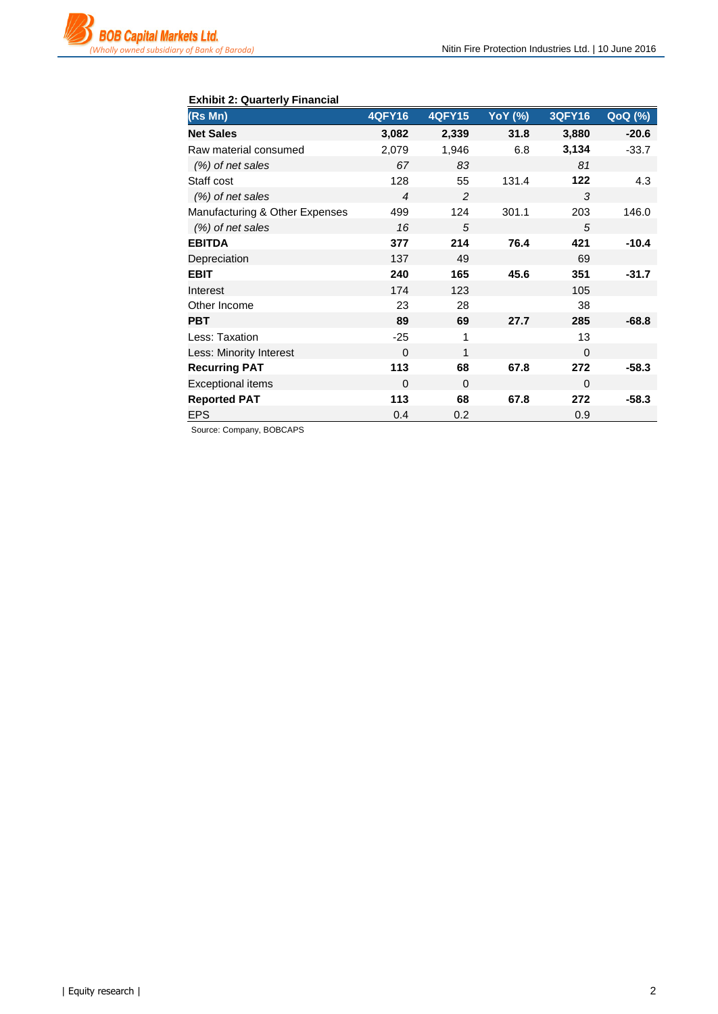

### **Exhibit 2: Quarterly Financial**

| (Rs Mn)                        | <b>4QFY16</b>  | <b>4QFY15</b> | <b>YoY</b> (%) | <b>3QFY16</b> | $QoQ(\sqrt[6]{6})$ |
|--------------------------------|----------------|---------------|----------------|---------------|--------------------|
| <b>Net Sales</b>               | 3,082          | 2,339         | 31.8           | 3,880         | $-20.6$            |
| Raw material consumed          | 2,079          | 1,946         | 6.8            | 3,134         | $-33.7$            |
| (%) of net sales               | 67             | 83            |                | 81            |                    |
| Staff cost                     | 128            | 55            | 131.4          | 122           | 4.3                |
| $(\%)$ of net sales            | $\overline{4}$ | 2             |                | 3             |                    |
| Manufacturing & Other Expenses | 499            | 124           | 301.1          | 203           | 146.0              |
| (%) of net sales               | 16             | 5             |                | 5             |                    |
| <b>EBITDA</b>                  | 377            | 214           | 76.4           | 421           | $-10.4$            |
| Depreciation                   | 137            | 49            |                | 69            |                    |
| <b>EBIT</b>                    | 240            | 165           | 45.6           | 351           | $-31.7$            |
| Interest                       | 174            | 123           |                | 105           |                    |
| Other Income                   | 23             | 28            |                | 38            |                    |
| <b>PBT</b>                     | 89             | 69            | 27.7           | 285           | $-68.8$            |
| Less: Taxation                 | $-25$          | 1             |                | 13            |                    |
| Less: Minority Interest        | $\Omega$       | 1             |                | $\Omega$      |                    |
| <b>Recurring PAT</b>           | 113            | 68            | 67.8           | 272           | $-58.3$            |
| <b>Exceptional items</b>       | $\Omega$       | $\Omega$      |                | $\Omega$      |                    |
| <b>Reported PAT</b>            | 113            | 68            | 67.8           | 272           | $-58.3$            |
| <b>EPS</b>                     | 0.4            | 0.2           |                | 0.9           |                    |

Source: Company, BOBCAPS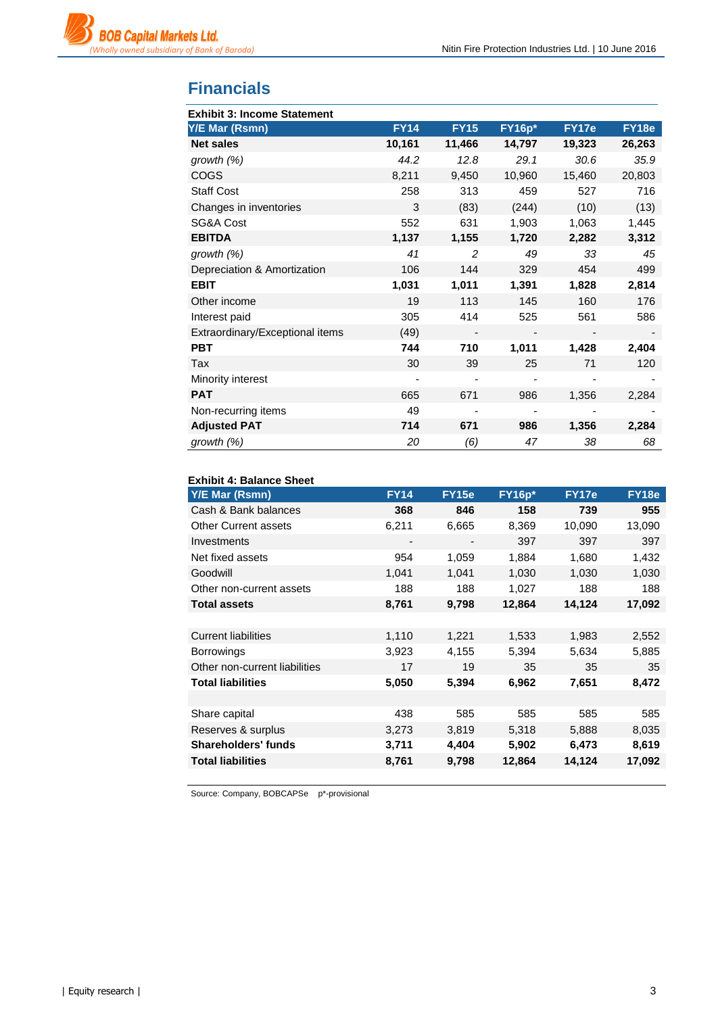

## **Financials**

| <b>Exhibit 3: Income Statement</b> |             |                          |               |        |        |
|------------------------------------|-------------|--------------------------|---------------|--------|--------|
| Y/E Mar (Rsmn)                     | <b>FY14</b> | <b>FY15</b>              | <b>FY16p*</b> | FY17e  | FY18e  |
| <b>Net sales</b>                   | 10,161      | 11,466                   | 14,797        | 19,323 | 26,263 |
| growth (%)                         | 44.2        | 12.8                     | 29.1          | 30.6   | 35.9   |
| <b>COGS</b>                        | 8,211       | 9,450                    | 10,960        | 15,460 | 20,803 |
| <b>Staff Cost</b>                  | 258         | 313                      | 459           | 527    | 716    |
| Changes in inventories             | 3           | (83)                     | (244)         | (10)   | (13)   |
| SG&A Cost                          | 552         | 631                      | 1,903         | 1,063  | 1,445  |
| <b>EBITDA</b>                      | 1,137       | 1,155                    | 1,720         | 2,282  | 3,312  |
| growth $(%)$                       | 41          | 2                        | 49            | 33     | 45     |
| Depreciation & Amortization        | 106         | 144                      | 329           | 454    | 499    |
| <b>EBIT</b>                        | 1,031       | 1,011                    | 1,391         | 1,828  | 2,814  |
| Other income                       | 19          | 113                      | 145           | 160    | 176    |
| Interest paid                      | 305         | 414                      | 525           | 561    | 586    |
| Extraordinary/Exceptional items    | (49)        | $\overline{\phantom{a}}$ |               |        |        |
| <b>PBT</b>                         | 744         | 710                      | 1,011         | 1,428  | 2,404  |
| Tax                                | 30          | 39                       | 25            | 71     | 120    |
| Minority interest                  |             |                          |               |        |        |
| <b>PAT</b>                         | 665         | 671                      | 986           | 1,356  | 2,284  |
| Non-recurring items                | 49          | -                        |               |        |        |
| <b>Adjusted PAT</b>                | 714         | 671                      | 986           | 1,356  | 2,284  |
| growth (%)                         | 20          | (6)                      | 47            | 38     | 68     |

#### **Exhibit 4: Balance Sheet**

| <b>FY14</b> | <b>FY15e</b>             | $FY16p*$ | FY17e  | FY18e  |
|-------------|--------------------------|----------|--------|--------|
| 368         | 846                      | 158      | 739    | 955    |
| 6,211       | 6,665                    | 8,369    | 10,090 | 13,090 |
|             | $\overline{\phantom{a}}$ | 397      | 397    | 397    |
| 954         | 1,059                    | 1,884    | 1,680  | 1,432  |
| 1,041       | 1,041                    | 1,030    | 1,030  | 1,030  |
| 188         | 188                      | 1,027    | 188    | 188    |
| 8,761       | 9,798                    | 12,864   | 14,124 | 17,092 |
|             |                          |          |        |        |
| 1,110       | 1,221                    | 1,533    | 1,983  | 2,552  |
| 3,923       | 4,155                    | 5,394    | 5,634  | 5,885  |
| 17          | 19                       | 35       | 35     | 35     |
| 5,050       | 5,394                    | 6,962    | 7,651  | 8,472  |
|             |                          |          |        |        |
| 438         | 585                      | 585      | 585    | 585    |
| 3,273       | 3,819                    | 5,318    | 5,888  | 8,035  |
| 3,711       | 4,404                    | 5,902    | 6,473  | 8,619  |
| 8,761       | 9,798                    | 12,864   | 14,124 | 17,092 |
|             |                          |          |        |        |

Source: Company, BOBCAPSe p\*-provisional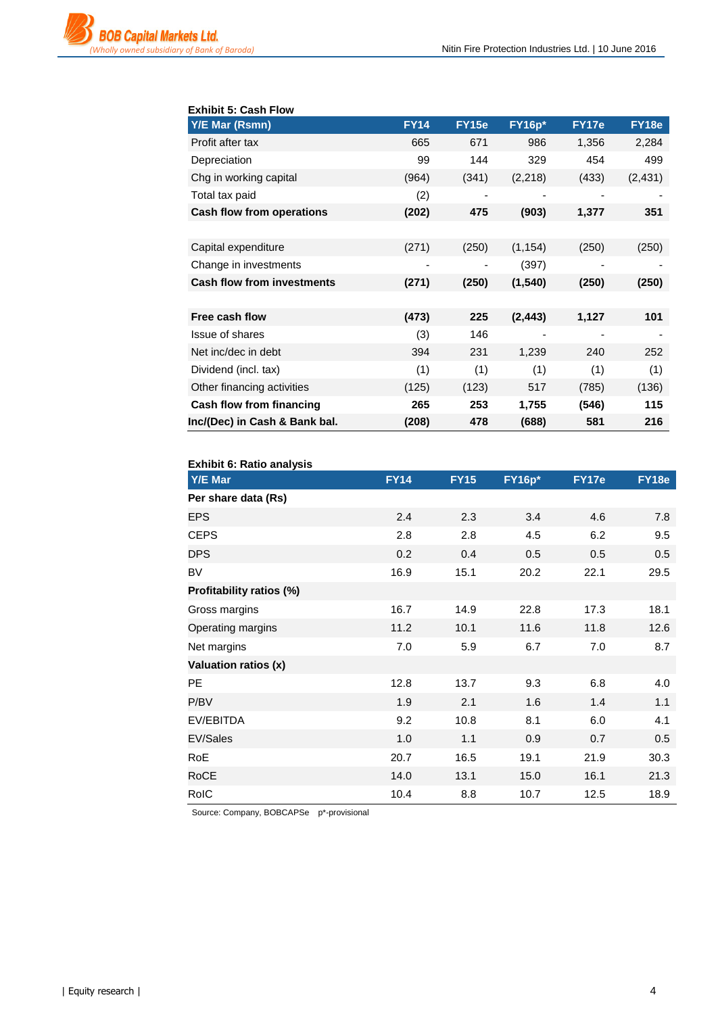

### **Exhibit 5: Cash Flow**

| <b>Y/E Mar (Rsmn)</b>             | <b>FY14</b> | FY15e | <b>FY16p*</b> | FY17e | FY18e    |
|-----------------------------------|-------------|-------|---------------|-------|----------|
| Profit after tax                  | 665         | 671   | 986           | 1,356 | 2,284    |
| Depreciation                      | 99          | 144   | 329           | 454   | 499      |
| Chg in working capital            | (964)       | (341) | (2,218)       | (433) | (2, 431) |
| Total tax paid                    | (2)         |       | -             | -     |          |
| Cash flow from operations         | (202)       | 475   | (903)         | 1,377 | 351      |
|                                   |             |       |               |       |          |
| Capital expenditure               | (271)       | (250) | (1, 154)      | (250) | (250)    |
| Change in investments             |             |       | (397)         |       |          |
| <b>Cash flow from investments</b> | (271)       | (250) | (1, 540)      | (250) | (250)    |
|                                   |             |       |               |       |          |
| Free cash flow                    | (473)       | 225   | (2, 443)      | 1,127 | 101      |
| <b>Issue of shares</b>            | (3)         | 146   |               |       |          |
| Net inc/dec in debt               | 394         | 231   | 1,239         | 240   | 252      |
| Dividend (incl. tax)              | (1)         | (1)   | (1)           | (1)   | (1)      |
| Other financing activities        | (125)       | (123) | 517           | (785) | (136)    |
| Cash flow from financing          | 265         | 253   | 1,755         | (546) | 115      |
| Inc/(Dec) in Cash & Bank bal.     | (208)       | 478   | (688)         | 581   | 216      |

#### **Exhibit 6: Ratio analysis**

| בהטוווט טוועמור סי השווח |             |             |               |       |              |
|--------------------------|-------------|-------------|---------------|-------|--------------|
| Y/E Mar                  | <b>FY14</b> | <b>FY15</b> | <b>FY16p*</b> | FY17e | <b>FY18e</b> |
| Per share data (Rs)      |             |             |               |       |              |
| <b>EPS</b>               | 2.4         | 2.3         | 3.4           | 4.6   | 7.8          |
| <b>CEPS</b>              | 2.8         | 2.8         | 4.5           | 6.2   | 9.5          |
| <b>DPS</b>               | 0.2         | 0.4         | 0.5           | 0.5   | 0.5          |
| <b>BV</b>                | 16.9        | 15.1        | 20.2          | 22.1  | 29.5         |
| Profitability ratios (%) |             |             |               |       |              |
| Gross margins            | 16.7        | 14.9        | 22.8          | 17.3  | 18.1         |
| Operating margins        | 11.2        | 10.1        | 11.6          | 11.8  | 12.6         |
| Net margins              | 7.0         | 5.9         | 6.7           | 7.0   | 8.7          |
| Valuation ratios (x)     |             |             |               |       |              |
| <b>PE</b>                | 12.8        | 13.7        | 9.3           | 6.8   | 4.0          |
| P/BV                     | 1.9         | 2.1         | 1.6           | 1.4   | 1.1          |
| EV/EBITDA                | 9.2         | 10.8        | 8.1           | 6.0   | 4.1          |
| EV/Sales                 | 1.0         | 1.1         | 0.9           | 0.7   | 0.5          |
| <b>RoE</b>               | 20.7        | 16.5        | 19.1          | 21.9  | 30.3         |
| <b>RoCE</b>              | 14.0        | 13.1        | 15.0          | 16.1  | 21.3         |
| RoIC                     | 10.4        | 8.8         | 10.7          | 12.5  | 18.9         |

Source: Company, BOBCAPSe p\*-provisional